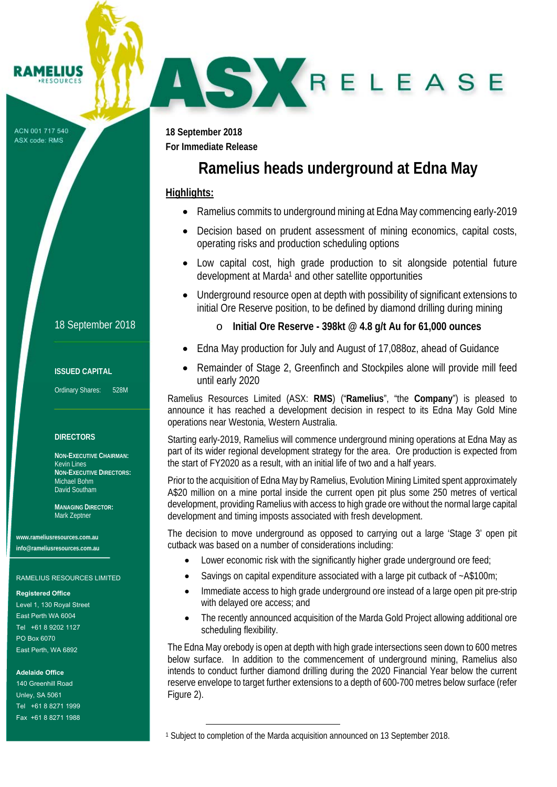#### **AMELIUS RESOURCES**

ACN 001 717 540 ASX code: RMS

18 September 2018

### **ISSUED CAPITAL**

Ordinary Shares: 528M

### **DIRECTORS**

**NON-EXECUTIVE CHAIRMAN:**  Kevin Lines **NON-EXECUTIVE DIRECTORS:**  Michael Bohm David Southam

**MANAGING DIRECTOR:**  Mark Zeptner

**www.rameliusresources.com.au info@rameliusresources.com.au** 

#### RAMELIUS RESOURCES LIMITED

#### **Registered Office**

Level 1, 130 Royal Street East Perth WA 6004 Tel +61 8 9202 1127 PO Box 6070 East Perth, WA 6892

### **Adelaide Office**

140 Greenhill Road Unley, SA 5061 Tel +61 8 8271 1999 Fax +61 8 8271 1988

**18 September 2018 For Immediate Release** 

r L

# **Ramelius heads underground at Edna May**

### **Highlights:**

7

- Ramelius commits to underground mining at Edna May commencing early-2019
- Decision based on prudent assessment of mining economics, capital costs, operating risks and production scheduling options
- Low capital cost, high grade production to sit alongside potential future development at Marda<sup>1</sup> and other satellite opportunities
- Underground resource open at depth with possibility of significant extensions to initial Ore Reserve position, to be defined by diamond drilling during mining
	- o **Initial Ore Reserve 398kt @ 4.8 g/t Au for 61,000 ounces**
- Edna May production for July and August of 17,088oz, ahead of Guidance
- Remainder of Stage 2, Greenfinch and Stockpiles alone will provide mill feed until early 2020

Ramelius Resources Limited (ASX: **RMS**) ("**Ramelius**", "the **Company**") is pleased to announce it has reached a development decision in respect to its Edna May Gold Mine operations near Westonia, Western Australia.

Starting early-2019, Ramelius will commence underground mining operations at Edna May as part of its wider regional development strategy for the area. Ore production is expected from the start of FY2020 as a result, with an initial life of two and a half years.

Prior to the acquisition of Edna May by Ramelius, Evolution Mining Limited spent approximately A\$20 million on a mine portal inside the current open pit plus some 250 metres of vertical development, providing Ramelius with access to high grade ore without the normal large capital development and timing imposts associated with fresh development.

The decision to move underground as opposed to carrying out a large 'Stage 3' open pit cutback was based on a number of considerations including:

- Lower economic risk with the significantly higher grade underground ore feed;
- Savings on capital expenditure associated with a large pit cutback of ~A\$100m;
- Immediate access to high grade underground ore instead of a large open pit pre-strip with delayed ore access; and
- The recently announced acquisition of the Marda Gold Project allowing additional ore scheduling flexibility.

The Edna May orebody is open at depth with high grade intersections seen down to 600 metres below surface. In addition to the commencement of underground mining, Ramelius also intends to conduct further diamond drilling during the 2020 Financial Year below the current reserve envelope to target further extensions to a depth of 600-700 metres below surface (refer Figure 2).

<sup>1</sup> Subject to completion of the Marda acquisition announced on 13 September 2018.

 $\overline{\phantom{0}}$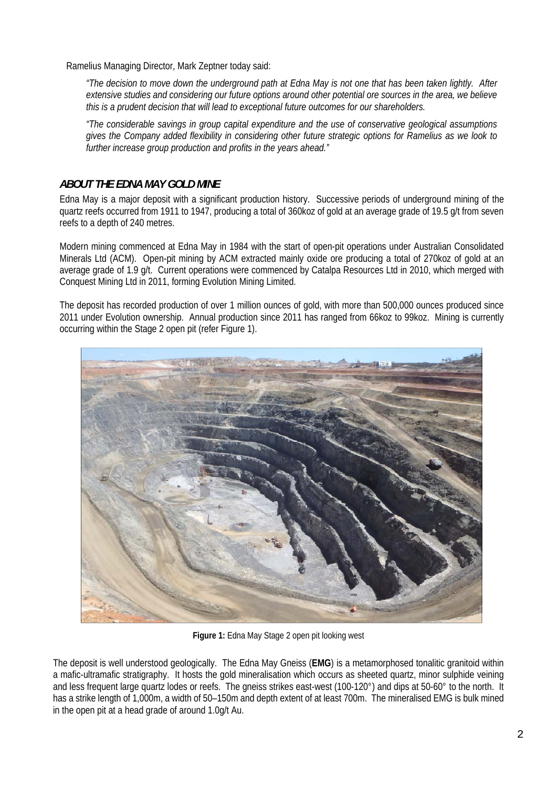Ramelius Managing Director, Mark Zeptner today said:

*"The decision to move down the underground path at Edna May is not one that has been taken lightly. After extensive studies and considering our future options around other potential ore sources in the area, we believe this is a prudent decision that will lead to exceptional future outcomes for our shareholders.* 

*"The considerable savings in group capital expenditure and the use of conservative geological assumptions gives the Company added flexibility in considering other future strategic options for Ramelius as we look to further increase group production and profits in the years ahead."* 

## *ABOUT THE EDNA MAY GOLD MINE*

Edna May is a major deposit with a significant production history. Successive periods of underground mining of the quartz reefs occurred from 1911 to 1947, producing a total of 360koz of gold at an average grade of 19.5 g/t from seven reefs to a depth of 240 metres.

Modern mining commenced at Edna May in 1984 with the start of open-pit operations under Australian Consolidated Minerals Ltd (ACM). Open-pit mining by ACM extracted mainly oxide ore producing a total of 270koz of gold at an average grade of 1.9 g/t. Current operations were commenced by Catalpa Resources Ltd in 2010, which merged with Conquest Mining Ltd in 2011, forming Evolution Mining Limited.

The deposit has recorded production of over 1 million ounces of gold, with more than 500,000 ounces produced since 2011 under Evolution ownership. Annual production since 2011 has ranged from 66koz to 99koz. Mining is currently occurring within the Stage 2 open pit (refer Figure 1).



**Figure 1:** Edna May Stage 2 open pit looking west

The deposit is well understood geologically. The Edna May Gneiss (**EMG**) is a metamorphosed tonalitic granitoid within a mafic-ultramafic stratigraphy. It hosts the gold mineralisation which occurs as sheeted quartz, minor sulphide veining and less frequent large quartz lodes or reefs. The gneiss strikes east-west (100-120°) and dips at 50-60° to the north. It has a strike length of 1,000m, a width of 50–150m and depth extent of at least 700m. The mineralised EMG is bulk mined in the open pit at a head grade of around 1.0g/t Au.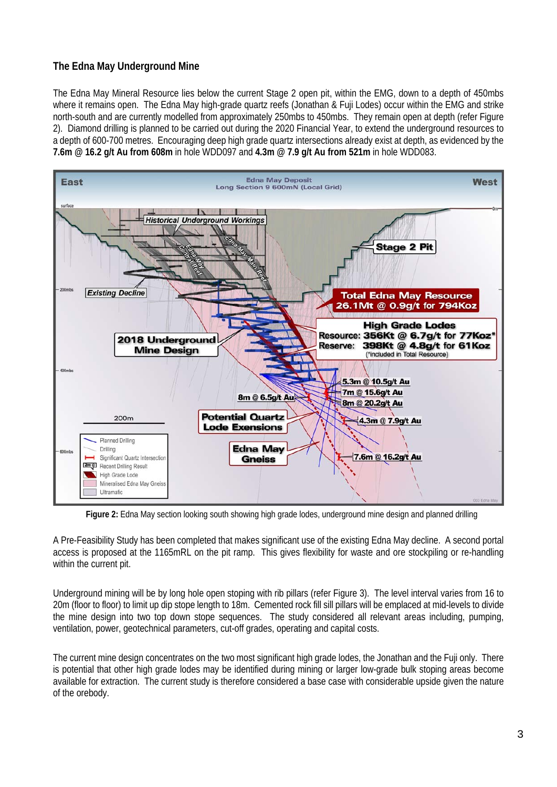# **The Edna May Underground Mine**

The Edna May Mineral Resource lies below the current Stage 2 open pit, within the EMG, down to a depth of 450mbs where it remains open. The Edna May high-grade quartz reefs (Jonathan & Fuji Lodes) occur within the EMG and strike north-south and are currently modelled from approximately 250mbs to 450mbs. They remain open at depth (refer Figure 2). Diamond drilling is planned to be carried out during the 2020 Financial Year, to extend the underground resources to a depth of 600-700 metres. Encouraging deep high grade quartz intersections already exist at depth, as evidenced by the **7.6m @ 16.2 g/t Au from 608m** in hole WDD097 and **4.3m @ 7.9 g/t Au from 521m** in hole WDD083.



**Figure 2:** Edna May section looking south showing high grade lodes, underground mine design and planned drilling

A Pre-Feasibility Study has been completed that makes significant use of the existing Edna May decline. A second portal access is proposed at the 1165mRL on the pit ramp. This gives flexibility for waste and ore stockpiling or re-handling within the current pit.

Underground mining will be by long hole open stoping with rib pillars (refer Figure 3). The level interval varies from 16 to 20m (floor to floor) to limit up dip stope length to 18m. Cemented rock fill sill pillars will be emplaced at mid-levels to divide the mine design into two top down stope sequences. The study considered all relevant areas including, pumping, ventilation, power, geotechnical parameters, cut-off grades, operating and capital costs.

The current mine design concentrates on the two most significant high grade lodes, the Jonathan and the Fuji only. There is potential that other high grade lodes may be identified during mining or larger low-grade bulk stoping areas become available for extraction. The current study is therefore considered a base case with considerable upside given the nature of the orebody.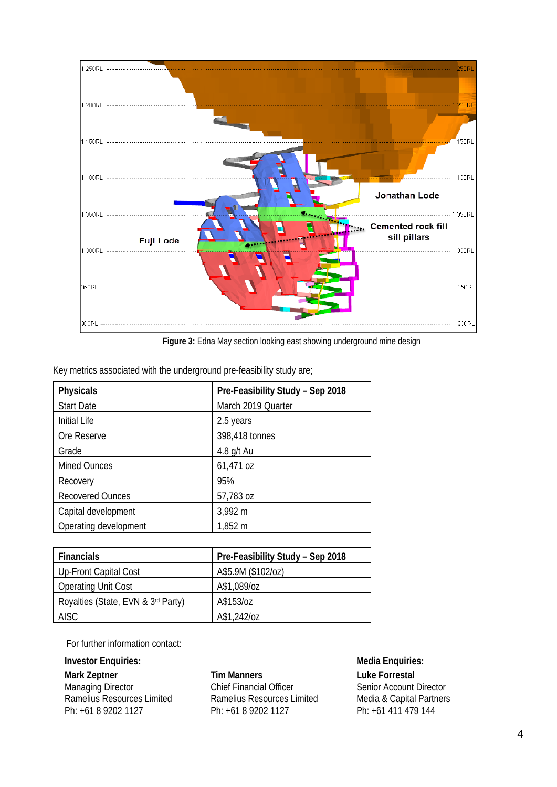

**Figure 3:** Edna May section looking east showing underground mine design

|  |  | Key metrics associated with the underground pre-feasibility study are; |  |  |
|--|--|------------------------------------------------------------------------|--|--|
|  |  |                                                                        |  |  |

| <b>Physicals</b>        | Pre-Feasibility Study - Sep 2018 |  |  |
|-------------------------|----------------------------------|--|--|
| <b>Start Date</b>       | March 2019 Quarter               |  |  |
| <b>Initial Life</b>     | 2.5 years                        |  |  |
| Ore Reserve             | 398,418 tonnes                   |  |  |
| Grade                   | 4.8 g/t Au                       |  |  |
| <b>Mined Ounces</b>     | 61,471 oz                        |  |  |
| Recovery                | 95%                              |  |  |
| <b>Recovered Ounces</b> | 57,783 oz                        |  |  |
| Capital development     | 3,992 m                          |  |  |
| Operating development   | 1,852 m                          |  |  |

| <b>Financials</b>                  | Pre-Feasibility Study - Sep 2018 |
|------------------------------------|----------------------------------|
| Up-Front Capital Cost              | A\$5.9M (\$102/oz)               |
| <b>Operating Unit Cost</b>         | A\$1,089/oz                      |
| Royalties (State, EVN & 3rd Party) | A\$153/oz                        |
| <b>AISC</b>                        | A\$1,242/oz                      |

For further information contact:

# **Investor Enquiries:** Media Enquiries:

**Mark Zeptner**  Managing Director Ramelius Resources Limited Ph: +61 8 9202 1127

**Tim Manners**  Chief Financial Officer Ramelius Resources Limited Ph: +61 8 9202 1127

**Luke Forrestal** Senior Account Director Media & Capital Partners Ph: +61 411 479 144